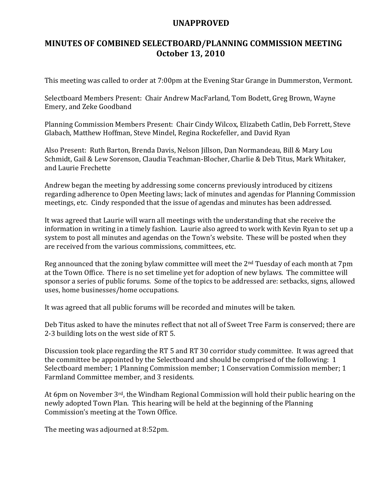## UNAPPROVED

## MINUTES OF COMBINED SELECTBOARD/PLANNING COMMISSION MEETING October 13, 2010

This meeting was called to order at 7:00pm at the Evening Star Grange in Dummerston, Vermont.

Selectboard Members Present: Chair Andrew MacFarland, Tom Bodett, Greg Brown, Wayne Emery, and Zeke Goodband

Planning Commission Members Present: Chair Cindy Wilcox, Elizabeth Catlin, Deb Forrett, Steve Glabach, Matthew Hoffman, Steve Mindel, Regina Rockefeller, and David Ryan

Also Present: Ruth Barton, Brenda Davis, Nelson Jillson, Dan Normandeau, Bill & Mary Lou Schmidt, Gail & Lew Sorenson, Claudia Teachman-Blocher, Charlie & Deb Titus, Mark Whitaker, and Laurie Frechette

Andrew began the meeting by addressing some concerns previously introduced by citizens regarding adherence to Open Meeting laws; lack of minutes and agendas for Planning Commission meetings, etc. Cindy responded that the issue of agendas and minutes has been addressed.

It was agreed that Laurie will warn all meetings with the understanding that she receive the information in writing in a timely fashion. Laurie also agreed to work with Kevin Ryan to set up a system to post all minutes and agendas on the Town's website. These will be posted when they are received from the various commissions, committees, etc.

Reg announced that the zoning bylaw committee will meet the 2<sup>nd</sup> Tuesday of each month at 7pm at the Town Office. There is no set timeline yet for adoption of new bylaws. The committee will sponsor a series of public forums. Some of the topics to be addressed are: setbacks, signs, allowed uses, home businesses/home occupations.

It was agreed that all public forums will be recorded and minutes will be taken.

Deb Titus asked to have the minutes reflect that not all of Sweet Tree Farm is conserved; there are 2-3 building lots on the west side of RT 5.

Discussion took place regarding the RT 5 and RT 30 corridor study committee. It was agreed that the committee be appointed by the Selectboard and should be comprised of the following: 1 Selectboard member; 1 Planning Commission member; 1 Conservation Commission member; 1 Farmland Committee member, and 3 residents.

At 6pm on November 3<sup>rd</sup>, the Windham Regional Commission will hold their public hearing on the newly adopted Town Plan. This hearing will be held at the beginning of the Planning Commission's meeting at the Town Office.

The meeting was adjourned at 8:52pm.